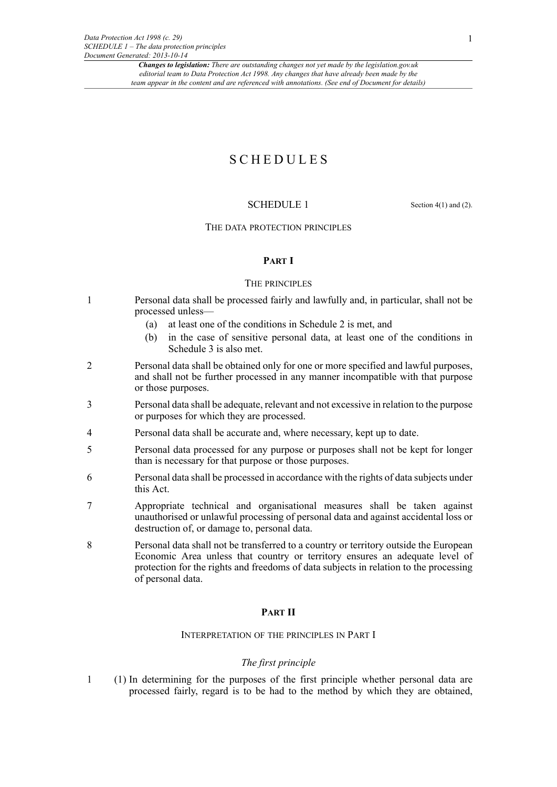*Changes to legislation: There are outstanding changes not yet made by the legislation.gov.uk editorial team to Data Protection Act 1998. Any changes that have already been made by the team appear in the content and are referenced with annotations. (See end of Document for details)*

# SCHEDULES

# $SCHEDULE 1$  Section 4(1) and (2).

#### THE DATA PROTECTION PRINCIPLES

# **PART I**

#### THE PRINCIPLES

- 1 Personal data shall be processed fairly and lawfully and, in particular, shall not be processed unless—
	- (a) at least one of the conditions in Schedule 2 is met, and
	- (b) in the case of sensitive personal data, at least one of the conditions in Schedule 3 is also met.
- 2 Personal data shall be obtained only for one or more specified and lawful purposes, and shall not be further processed in any manner incompatible with that purpose or those purposes.
- 3 Personal data shall be adequate, relevant and not excessive in relation to the purpose or purposes for which they are processed.
- 4 Personal data shall be accurate and, where necessary, kept up to date.
- 5 Personal data processed for any purpose or purposes shall not be kept for longer than is necessary for that purpose or those purposes.
- 6 Personal data shall be processed in accordance with the rights of data subjects under this Act.
- 7 Appropriate technical and organisational measures shall be taken against unauthorised or unlawful processing of personal data and against accidental loss or destruction of, or damage to, personal data.
- 8 Personal data shall not be transferred to a country or territory outside the European Economic Area unless that country or territory ensures an adequate level of protection for the rights and freedoms of data subjects in relation to the processing of personal data.

# **PART II**

### INTERPRETATION OF THE PRINCIPLES IN PART I

# *The first principle*

1 (1) In determining for the purposes of the first principle whether personal data are processed fairly, regard is to be had to the method by which they are obtained,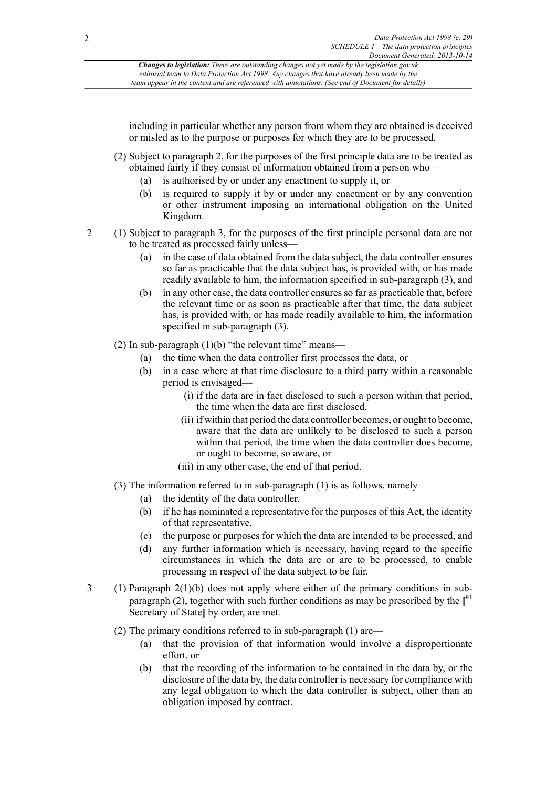including in particular whether any person from whom they are obtained is deceived or misled as to the purpose or purposes for which they are to be processed.

- (2) Subject to paragraph 2, for the purposes of the first principle data are to be treated as obtained fairly if they consist of information obtained from a person who—
	- (a) is authorised by or under any enactment to supply it, or
	- (b) is required to supply it by or under any enactment or by any convention or other instrument imposing an international obligation on the United Kingdom.
- 2 (1) Subject to paragraph 3, for the purposes of the first principle personal data are not to be treated as processed fairly unless—
	- (a) in the case of data obtained from the data subject, the data controller ensures so far as practicable that the data subject has, is provided with, or has made readily available to him, the information specified in sub-paragraph (3), and
	- (b) in any other case, the data controller ensures so far as practicable that, before the relevant time or as soon as practicable after that time, the data subject has, is provided with, or has made readily available to him, the information specified in sub-paragraph (3).
	- (2) In sub-paragraph  $(1)(b)$  "the relevant time" means—
		- (a) the time when the data controller first processes the data, or
		- (b) in a case where at that time disclosure to a third party within a reasonable period is envisaged—
			- (i) if the data are in fact disclosed to such a person within that period, the time when the data are first disclosed,
			- (ii) if within that period the data controller becomes, or ought to become, aware that the data are unlikely to be disclosed to such a person within that period, the time when the data controller does become, or ought to become, so aware, or
			- (iii) in any other case, the end of that period.
	- (3) The information referred to in sub-paragraph (1) is as follows, namely—
		- (a) the identity of the data controller,
		- (b) if he has nominated a representative for the purposes of this Act, the identity of that representative,
		- (c) the purpose or purposes for which the data are intended to be processed, and
		- (d) any further information which is necessary, having regard to the specific circumstances in which the data are or are to be processed, to enable processing in respect of the data subject to be fair.
- <span id="page-1-0"></span>3 (1) Paragraph 2(1)(b) does not apply where either of the primary conditions in subparagraph (2), together with such further conditions as may be prescribed by the **[ [F1](#page-2-0)** Secretary of State**]** by order, are met.
	- (2) The primary conditions referred to in sub-paragraph (1) are—
		- (a) that the provision of that information would involve a disproportionate effort, or
		- (b) that the recording of the information to be contained in the data by, or the disclosure of the data by, the data controller is necessary for compliance with any legal obligation to which the data controller is subject, other than an obligation imposed by contract.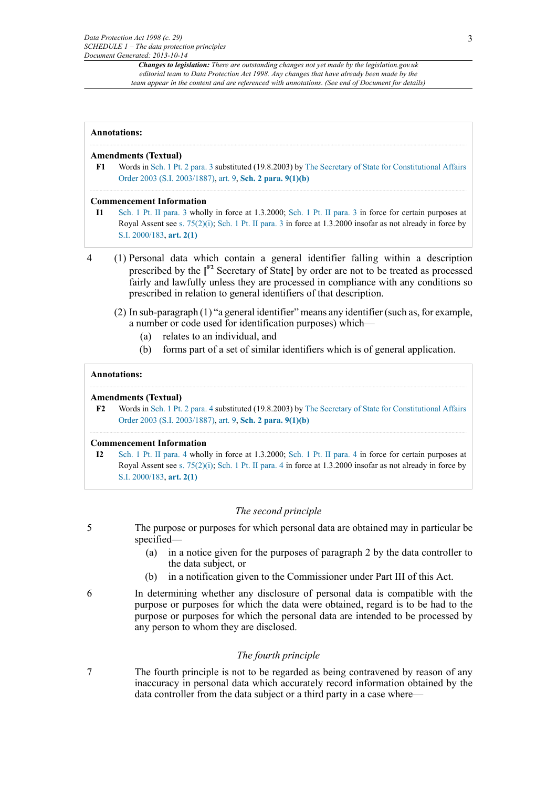*Changes to legislation: There are outstanding changes not yet made by the legislation.gov.uk editorial team to Data Protection Act 1998. Any changes that have already been made by the team appear in the content and are referenced with annotations. (See end of Document for details)*

#### **Annotations:**

#### **Amendments (Textual)**

<span id="page-2-0"></span>**[F1](#page-1-0)** Words in [Sch. 1 Pt. 2 para. 3](http://www.legislation.gov.uk/id/ukpga/1998/29/schedule/1/part/2/paragraph/3) substituted (19.8.2003) by [The Secretary of State for Constitutional Affairs](http://www.legislation.gov.uk/id/uksi/2003/1887) [Order 2003 \(S.I. 2003/1887\)](http://www.legislation.gov.uk/id/uksi/2003/1887), [art. 9](http://www.legislation.gov.uk/id/uksi/2003/1887/article/9), **[Sch. 2 para. 9\(1\)\(b\)](http://www.legislation.gov.uk/id/uksi/2003/1887/schedule/2/paragraph/9/1/b)**

#### **Commencement Information**

- **I1** [Sch. 1 Pt. II para. 3](http://www.legislation.gov.uk/id/ukpga/1998/29/schedule/1/part/II/paragraph/3) wholly in force at 1.3.2000; [Sch. 1 Pt. II para. 3](http://www.legislation.gov.uk/id/ukpga/1998/29/schedule/1/part/II/paragraph/3) in force for certain purposes at Royal Assent see [s. 75\(2\)\(i\);](http://www.legislation.gov.uk/id/ukpga/1998/29/section/75/2/i) [Sch. 1 Pt. II para. 3](http://www.legislation.gov.uk/id/ukpga/1998/29/schedule/1/part/II/paragraph/3) in force at 1.3.2000 insofar as not already in force by [S.I. 2000/183](http://www.legislation.gov.uk/id/uksi/2000/183), **[art. 2\(1\)](http://www.legislation.gov.uk/id/uksi/2000/183/article/2/1)**
- <span id="page-2-2"></span>4 (1) Personal data which contain a general identifier falling within a description prescribed by the **[ [F2](#page-2-1)** Secretary of State**]** by order are not to be treated as processed fairly and lawfully unless they are processed in compliance with any conditions so prescribed in relation to general identifiers of that description.
	- (2) In sub-paragraph (1) "a general identifier" means any identifier (such as, for example, a number or code used for identification purposes) which—
		- (a) relates to an individual, and
		- (b) forms part of a set of similar identifiers which is of general application.

#### **Annotations:**

#### **Amendments (Textual)**

<span id="page-2-1"></span>**[F2](#page-2-2)** Words in [Sch. 1 Pt. 2 para. 4](http://www.legislation.gov.uk/id/ukpga/1998/29/schedule/1/part/2/paragraph/4) substituted (19.8.2003) by [The Secretary of State for Constitutional Affairs](http://www.legislation.gov.uk/id/uksi/2003/1887) [Order 2003 \(S.I. 2003/1887\)](http://www.legislation.gov.uk/id/uksi/2003/1887), [art. 9](http://www.legislation.gov.uk/id/uksi/2003/1887/article/9), **[Sch. 2 para. 9\(1\)\(b\)](http://www.legislation.gov.uk/id/uksi/2003/1887/schedule/2/paragraph/9/1/b)**

#### **Commencement Information**

**I2** [Sch. 1 Pt. II para. 4](http://www.legislation.gov.uk/id/ukpga/1998/29/schedule/1/part/II/paragraph/4) wholly in force at 1.3.2000; [Sch. 1 Pt. II para. 4](http://www.legislation.gov.uk/id/ukpga/1998/29/schedule/1/part/II/paragraph/4) in force for certain purposes at Royal Assent see s.  $75(2)(i)$ ; [Sch. 1 Pt. II para. 4](http://www.legislation.gov.uk/id/ukpga/1998/29/schedule/1/part/II/paragraph/4) in force at 1.3.2000 insofar as not already in force by [S.I. 2000/183](http://www.legislation.gov.uk/id/uksi/2000/183), **[art. 2\(1\)](http://www.legislation.gov.uk/id/uksi/2000/183/article/2/1)**

#### *The second principle*

5 The purpose or purposes for which personal data are obtained may in particular be specified—

- (a) in a notice given for the purposes of paragraph 2 by the data controller to the data subject, or
- (b) in a notification given to the Commissioner under Part III of this Act.

6 In determining whether any disclosure of personal data is compatible with the purpose or purposes for which the data were obtained, regard is to be had to the purpose or purposes for which the personal data are intended to be processed by any person to whom they are disclosed.

# *The fourth principle*

7 The fourth principle is not to be regarded as being contravened by reason of any inaccuracy in personal data which accurately record information obtained by the data controller from the data subject or a third party in a case where—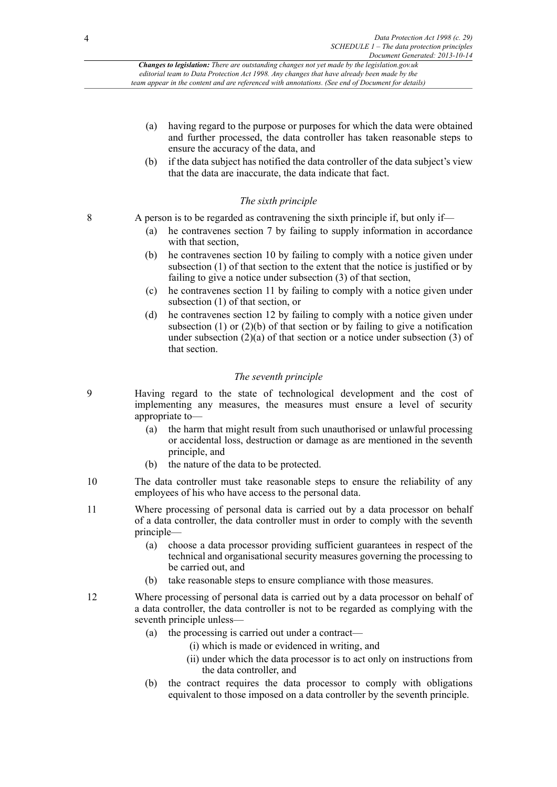- (a) having regard to the purpose or purposes for which the data were obtained and further processed, the data controller has taken reasonable steps to ensure the accuracy of the data, and
- (b) if the data subject has notified the data controller of the data subject's view that the data are inaccurate, the data indicate that fact.

# *The sixth principle*

8 A person is to be regarded as contravening the sixth principle if, but only if—

- (a) he contravenes section 7 by failing to supply information in accordance with that section
- (b) he contravenes section 10 by failing to comply with a notice given under subsection (1) of that section to the extent that the notice is justified or by failing to give a notice under subsection (3) of that section,
- (c) he contravenes section 11 by failing to comply with a notice given under subsection (1) of that section, or
- (d) he contravenes section 12 by failing to comply with a notice given under subsection  $(1)$  or  $(2)(b)$  of that section or by failing to give a notification under subsection  $(2)(a)$  of that section or a notice under subsection  $(3)$  of that section.

# *The seventh principle*

- 9 Having regard to the state of technological development and the cost of implementing any measures, the measures must ensure a level of security appropriate to—
	- (a) the harm that might result from such unauthorised or unlawful processing or accidental loss, destruction or damage as are mentioned in the seventh principle, and
	- (b) the nature of the data to be protected.
- 10 The data controller must take reasonable steps to ensure the reliability of any employees of his who have access to the personal data.
- 11 Where processing of personal data is carried out by a data processor on behalf of a data controller, the data controller must in order to comply with the seventh principle—
	- (a) choose a data processor providing sufficient guarantees in respect of the technical and organisational security measures governing the processing to be carried out, and
	- (b) take reasonable steps to ensure compliance with those measures.
- 12 Where processing of personal data is carried out by a data processor on behalf of a data controller, the data controller is not to be regarded as complying with the seventh principle unless—
	- (a) the processing is carried out under a contract—
		- (i) which is made or evidenced in writing, and
		- (ii) under which the data processor is to act only on instructions from the data controller, and
	- (b) the contract requires the data processor to comply with obligations equivalent to those imposed on a data controller by the seventh principle.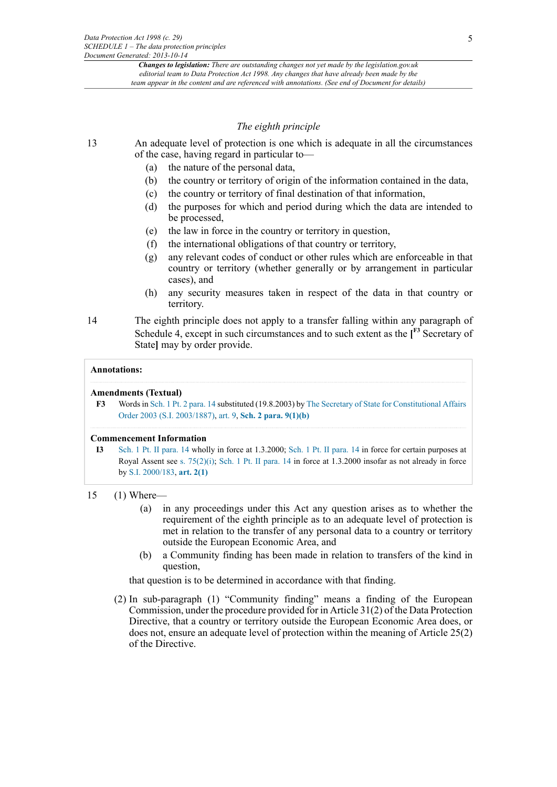*Changes to legislation: There are outstanding changes not yet made by the legislation.gov.uk editorial team to Data Protection Act 1998. Any changes that have already been made by the team appear in the content and are referenced with annotations. (See end of Document for details)*

# <span id="page-4-1"></span>*The eighth principle*

- 13 An adequate level of protection is one which is adequate in all the circumstances of the case, having regard in particular to—
	- (a) the nature of the personal data,
	- (b) the country or territory of origin of the information contained in the data,
	- (c) the country or territory of final destination of that information,
	- (d) the purposes for which and period during which the data are intended to be processed,
	- (e) the law in force in the country or territory in question,
	- (f) the international obligations of that country or territory,
	- (g) any relevant codes of conduct or other rules which are enforceable in that country or territory (whether generally or by arrangement in particular cases), and
	- (h) any security measures taken in respect of the data in that country or territory.

14 The eighth principle does not apply to a transfer falling within any paragraph of Schedule 4, except in such circumstances and to such extent as the  $\mathbf{I}^{\text{F3}}$  $\mathbf{I}^{\text{F3}}$  $\mathbf{I}^{\text{F3}}$  Secretary of State**]** may by order provide.

#### **Annotations:**

#### <span id="page-4-0"></span>**Amendments (Textual)**

**[F3](#page-4-1)** Words in [Sch. 1 Pt. 2 para. 14](http://www.legislation.gov.uk/id/ukpga/1998/29/schedule/1/part/2/paragraph/14) substituted (19.8.2003) by [The Secretary of State for Constitutional Affairs](http://www.legislation.gov.uk/id/uksi/2003/1887) [Order 2003 \(S.I. 2003/1887\)](http://www.legislation.gov.uk/id/uksi/2003/1887), [art. 9](http://www.legislation.gov.uk/id/uksi/2003/1887/article/9), **[Sch. 2 para. 9\(1\)\(b\)](http://www.legislation.gov.uk/id/uksi/2003/1887/schedule/2/paragraph/9/1/b)**

#### **Commencement Information**

**I3** [Sch. 1 Pt. II para. 14](http://www.legislation.gov.uk/id/ukpga/1998/29/schedule/1/part/II/paragraph/14) wholly in force at 1.3.2000; [Sch. 1 Pt. II para. 14](http://www.legislation.gov.uk/id/ukpga/1998/29/schedule/1/part/II/paragraph/14) in force for certain purposes at Royal Assent see s.  $75(2)(i)$ ; [Sch. 1 Pt. II para. 14](http://www.legislation.gov.uk/id/ukpga/1998/29/schedule/1/part/II/paragraph/14) in force at 1.3.2000 insofar as not already in force by [S.I. 2000/183,](http://www.legislation.gov.uk/id/uksi/2000/183) **[art. 2\(1\)](http://www.legislation.gov.uk/id/uksi/2000/183/article/2/1)**

### 15 (1) Where—

- (a) in any proceedings under this Act any question arises as to whether the requirement of the eighth principle as to an adequate level of protection is met in relation to the transfer of any personal data to a country or territory outside the European Economic Area, and
- (b) a Community finding has been made in relation to transfers of the kind in question,

that question is to be determined in accordance with that finding.

(2) In sub-paragraph (1) "Community finding" means a finding of the European Commission, under the procedure provided for in Article 31(2) of the Data Protection Directive, that a country or territory outside the European Economic Area does, or does not, ensure an adequate level of protection within the meaning of Article 25(2) of the Directive.